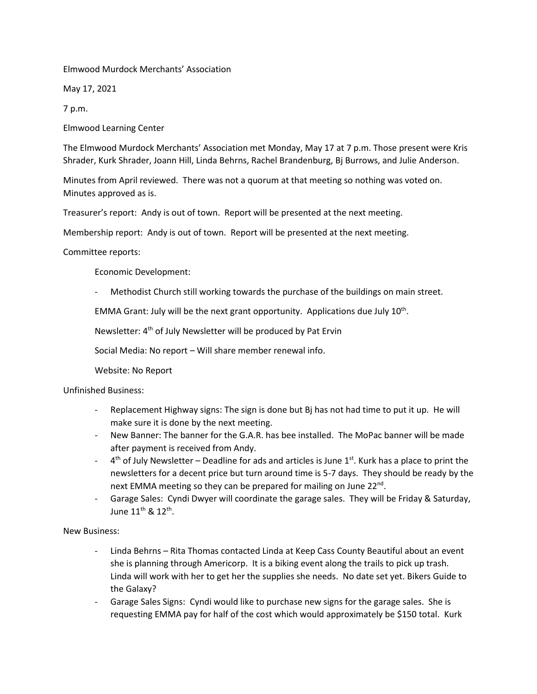Elmwood Murdock Merchants' Association

May 17, 2021

7 p.m.

Elmwood Learning Center

The Elmwood Murdock Merchants' Association met Monday, May 17 at 7 p.m. Those present were Kris Shrader, Kurk Shrader, Joann Hill, Linda Behrns, Rachel Brandenburg, Bj Burrows, and Julie Anderson.

Minutes from April reviewed. There was not a quorum at that meeting so nothing was voted on. Minutes approved as is.

Treasurer's report: Andy is out of town. Report will be presented at the next meeting.

Membership report: Andy is out of town. Report will be presented at the next meeting.

Committee reports:

Economic Development:

- Methodist Church still working towards the purchase of the buildings on main street.

EMMA Grant: July will be the next grant opportunity. Applications due July  $10^{th}$ .

Newsletter: 4<sup>th</sup> of July Newsletter will be produced by Pat Ervin

Social Media: No report – Will share member renewal info.

Website: No Report

Unfinished Business:

- Replacement Highway signs: The sign is done but Bj has not had time to put it up. He will make sure it is done by the next meeting.
- New Banner: The banner for the G.A.R. has bee installed. The MoPac banner will be made after payment is received from Andy.
- $-$  4<sup>th</sup> of July Newsletter Deadline for ads and articles is June 1<sup>st</sup>. Kurk has a place to print the newsletters for a decent price but turn around time is 5-7 days. They should be ready by the next EMMA meeting so they can be prepared for mailing on June 22<sup>nd</sup>.
- Garage Sales: Cyndi Dwyer will coordinate the garage sales. They will be Friday & Saturday, June  $11^{\text{th}}$  &  $12^{\text{th}}$ .

New Business:

- Linda Behrns Rita Thomas contacted Linda at Keep Cass County Beautiful about an event she is planning through Americorp. It is a biking event along the trails to pick up trash. Linda will work with her to get her the supplies she needs. No date set yet. Bikers Guide to the Galaxy?
- Garage Sales Signs: Cyndi would like to purchase new signs for the garage sales. She is requesting EMMA pay for half of the cost which would approximately be \$150 total. Kurk